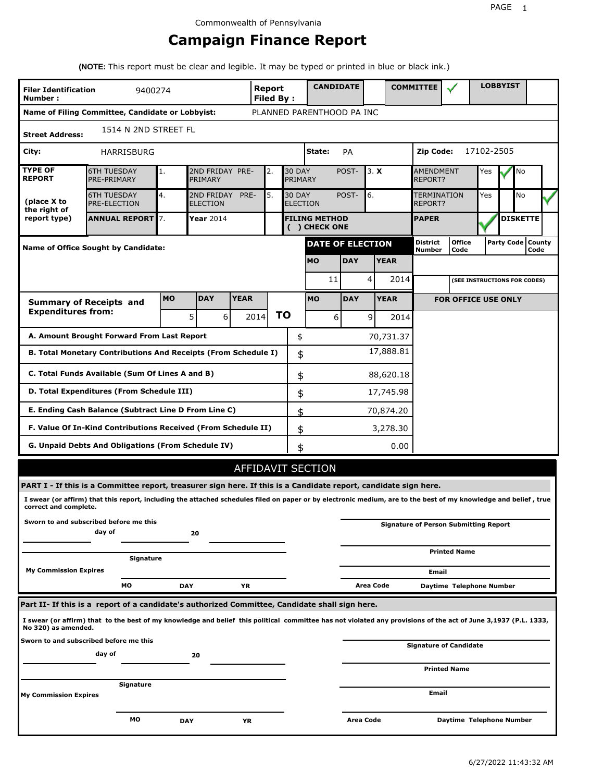# **Campaign Finance Report**

**(NOTE:** This report must be clear and legible. It may be typed or printed in blue or black ink.)

| <b>Filer Identification</b><br>Number:                                   | 9400274                                                                                                                                                         |            |                               |      | <b>Report</b><br><b>Filed By:</b> |                          | <b>CANDIDATE</b>                     |            |                  |             | <b>COMMITTEE</b>                   |                                              |            | <b>LOBBYIST</b>     |                 |  |
|--------------------------------------------------------------------------|-----------------------------------------------------------------------------------------------------------------------------------------------------------------|------------|-------------------------------|------|-----------------------------------|--------------------------|--------------------------------------|------------|------------------|-------------|------------------------------------|----------------------------------------------|------------|---------------------|-----------------|--|
|                                                                          | Name of Filing Committee, Candidate or Lobbyist:                                                                                                                |            |                               |      |                                   |                          | PLANNED PARENTHOOD PA INC            |            |                  |             |                                    |                                              |            |                     |                 |  |
| <b>Street Address:</b>                                                   | 1514 N 2ND STREET FL                                                                                                                                            |            |                               |      |                                   |                          |                                      |            |                  |             |                                    |                                              |            |                     |                 |  |
| City:                                                                    | HARRISBURG                                                                                                                                                      |            |                               |      |                                   |                          | State:                               | PA         |                  |             | Zip Code:                          |                                              | 17102-2505 |                     |                 |  |
| <b>TYPE OF</b><br><b>REPORT</b>                                          | <b>6TH TUESDAY</b><br>PRE-PRIMARY                                                                                                                               | 1.         | 2ND FRIDAY PRE-<br>PRIMARY    |      | 2.                                | <b>30 DAY</b><br>PRIMARY |                                      | POST-      | 3. X             |             | <b>AMENDMENT</b><br><b>REPORT?</b> |                                              | Yes        |                     | No              |  |
| (place X to<br>the right of                                              | <b>6TH TUESDAY</b><br><b>PRE-ELECTION</b>                                                                                                                       | 4.         | 2ND FRIDAY<br><b>ELECTION</b> | PRE- | 5.                                | <b>30 DAY</b>            | <b>ELECTION</b>                      | POST-      | 6.               |             | TERMINATION<br>REPORT?             | Yes                                          |            | No                  |                 |  |
| report type)                                                             | <b>ANNUAL REPORT</b> 7.                                                                                                                                         |            | Year 2014                     |      |                                   |                          | <b>FILING METHOD</b><br>() CHECK ONE |            |                  |             | <b>PAPER</b>                       |                                              |            |                     | <b>DISKETTE</b> |  |
|                                                                          | Name of Office Sought by Candidate:                                                                                                                             |            |                               |      |                                   |                          | <b>DATE OF ELECTION</b>              |            |                  |             | <b>District</b><br><b>Number</b>   | <b>Office</b><br>Code                        |            | Party Code   County | Code            |  |
|                                                                          |                                                                                                                                                                 |            |                               |      |                                   |                          | <b>MO</b>                            | <b>DAY</b> |                  | <b>YEAR</b> |                                    |                                              |            |                     |                 |  |
|                                                                          |                                                                                                                                                                 |            |                               |      |                                   |                          | 11                                   |            | 4                | 2014        |                                    | (SEE INSTRUCTIONS FOR CODES)                 |            |                     |                 |  |
| <b>DAY</b><br><b>YEAR</b><br><b>MO</b><br><b>Summary of Receipts and</b> |                                                                                                                                                                 |            |                               |      |                                   |                          | <b>MO</b>                            | <b>DAY</b> |                  | <b>YEAR</b> |                                    | <b>FOR OFFICE USE ONLY</b>                   |            |                     |                 |  |
| <b>Expenditures from:</b>                                                |                                                                                                                                                                 |            | 5<br>6                        |      | 2014                              | ΤO                       | 6                                    |            | $\overline{9}$   | 2014        |                                    |                                              |            |                     |                 |  |
|                                                                          | A. Amount Brought Forward From Last Report                                                                                                                      |            |                               |      |                                   | \$                       |                                      |            |                  | 70,731.37   |                                    |                                              |            |                     |                 |  |
| B. Total Monetary Contributions And Receipts (From Schedule I)           |                                                                                                                                                                 |            | 17,888.81<br>\$               |      |                                   |                          |                                      |            |                  |             |                                    |                                              |            |                     |                 |  |
| C. Total Funds Available (Sum Of Lines A and B)                          | \$                                                                                                                                                              |            |                               |      | 88,620.18                         |                          |                                      |            |                  |             |                                    |                                              |            |                     |                 |  |
|                                                                          | D. Total Expenditures (From Schedule III)                                                                                                                       |            |                               |      |                                   |                          |                                      |            |                  | 17,745.98   |                                    |                                              |            |                     |                 |  |
|                                                                          | E. Ending Cash Balance (Subtract Line D From Line C)                                                                                                            |            |                               |      |                                   | \$                       |                                      |            |                  | 70,874.20   |                                    |                                              |            |                     |                 |  |
|                                                                          | F. Value Of In-Kind Contributions Received (From Schedule II)                                                                                                   |            |                               |      |                                   | \$                       |                                      |            |                  | 3,278.30    |                                    |                                              |            |                     |                 |  |
|                                                                          | <b>G. Unpaid Debts And Obligations (From Schedule IV)</b>                                                                                                       |            |                               |      |                                   | \$                       |                                      |            |                  | 0.00        |                                    |                                              |            |                     |                 |  |
|                                                                          |                                                                                                                                                                 |            |                               |      |                                   |                          | AFFIDAVIT SECTION                    |            |                  |             |                                    |                                              |            |                     |                 |  |
|                                                                          | PART I - If this is a Committee report, treasurer sign here. If this is a Candidate report, candidate sign here.                                                |            |                               |      |                                   |                          |                                      |            |                  |             |                                    |                                              |            |                     |                 |  |
| correct and complete.                                                    | I swear (or affirm) that this report, including the attached schedules filed on paper or by electronic medium, are to the best of my knowledge and belief, true |            |                               |      |                                   |                          |                                      |            |                  |             |                                    |                                              |            |                     |                 |  |
|                                                                          | Sworn to and subscribed before me this<br>day of                                                                                                                |            | 20                            |      |                                   |                          |                                      |            |                  |             |                                    | <b>Signature of Person Submitting Report</b> |            |                     |                 |  |
|                                                                          | Signature                                                                                                                                                       |            |                               |      |                                   |                          |                                      |            |                  |             |                                    | <b>Printed Name</b>                          |            |                     |                 |  |
| <b>My Commission Expires</b>                                             |                                                                                                                                                                 |            |                               |      |                                   |                          |                                      |            |                  |             | Email                              |                                              |            |                     |                 |  |
|                                                                          | МO                                                                                                                                                              | <b>DAY</b> |                               | YR   |                                   |                          |                                      |            | Area Code        |             |                                    | Daytime Telephone Number                     |            |                     |                 |  |
|                                                                          | Part II- If this is a report of a candidate's authorized Committee, Candidate shall sign here.                                                                  |            |                               |      |                                   |                          |                                      |            |                  |             |                                    |                                              |            |                     |                 |  |
| No 320) as amended.                                                      | I swear (or affirm) that to the best of my knowledge and belief this political committee has not violated any provisions of the act of June 3,1937 (P.L. 1333,  |            |                               |      |                                   |                          |                                      |            |                  |             |                                    |                                              |            |                     |                 |  |
|                                                                          | Sworn to and subscribed before me this<br>day of                                                                                                                |            | 20                            |      |                                   |                          |                                      |            |                  |             |                                    | <b>Signature of Candidate</b>                |            |                     |                 |  |
|                                                                          |                                                                                                                                                                 |            |                               |      |                                   |                          |                                      |            |                  |             |                                    | <b>Printed Name</b>                          |            |                     |                 |  |
| My Commission Expires                                                    | Signature                                                                                                                                                       |            |                               |      |                                   |                          |                                      |            |                  |             | Email                              |                                              |            |                     |                 |  |
|                                                                          | МO                                                                                                                                                              | <b>DAY</b> |                               | YR   |                                   |                          |                                      |            | <b>Area Code</b> |             |                                    | Daytime Telephone Number                     |            |                     |                 |  |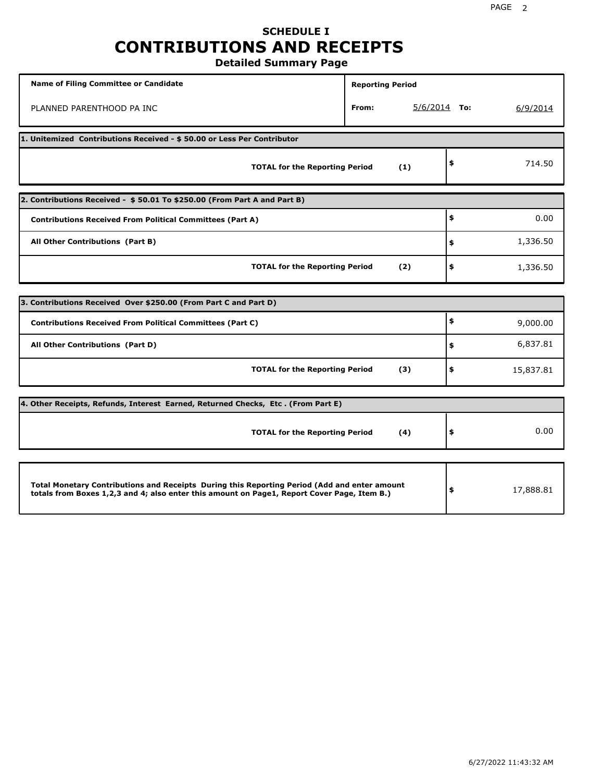## **SCHEDULE I CONTRIBUTIONS AND RECEIPTS Detailed Summary Page**

**Name of Filing Committee or Candidate Reporting Period Reporting Period** PLANNED PARENTHOOD PA INC **From:** 5/6/2014 **To:** 6/9/2014 **1. Unitemized Contributions Received - \$ 50.00 or Less Per Contributor TOTAL for the Reporting Period (1) \$** 714.50 **2. Contributions Received - \$ 50.01 To \$250.00 (From Part A and Part B) TOTAL for the Reporting Period (2) Contributions Received From Political Committees (Part A) All Other Contributions (Part B) \$ \$ \$** 0.00 1,336.50 1,336.50 **3. Contributions Received Over \$250.00 (From Part C and Part D) TOTAL for the Reporting Period (3) Contributions Received From Political Committees (Part C) All Other Contributions (Part D) \$ \$ \$** 9,000.00 6,837.81 15,837.81 **4. Other Receipts, Refunds, Interest Earned, Returned Checks, Etc . (From Part E) TOTAL for the Reporting Period (4) \$** 0.00 **Total Monetary Contributions and Receipts During this Reporting Period (Add and enter amount totals from Boxes 1,2,3 and 4; also enter this amount on Page1, Report Cover Page, Item B.) \$** 17,888.81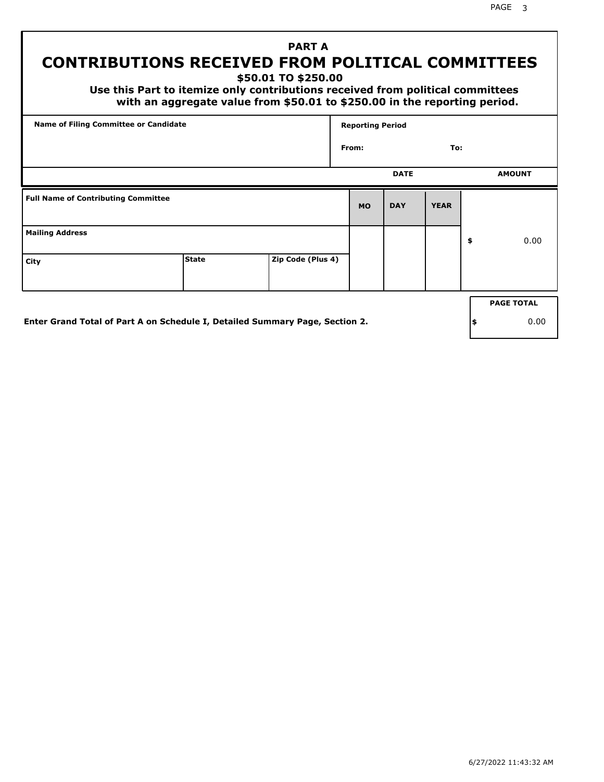PAGE 3

# **PART A CONTRIBUTIONS RECEIVED FROM POLITICAL COMMITTEES**

**\$50.01 TO \$250.00**

 **Use this Part to itemize only contributions received from political committees with an aggregate value from \$50.01 to \$250.00 in the reporting period.**

| From:     | <b>DATE</b> | To:         |                   |  |  |
|-----------|-------------|-------------|-------------------|--|--|
|           |             |             |                   |  |  |
|           |             |             | <b>AMOUNT</b>     |  |  |
| <b>MO</b> | <b>DAY</b>  | <b>YEAR</b> |                   |  |  |
|           |             |             | \$<br>0.00        |  |  |
|           |             |             |                   |  |  |
|           |             |             | <b>PAGE TOTAL</b> |  |  |
|           |             |             |                   |  |  |

**Enter Grand Total of Part A on Schedule I, Detailed Summary Page, Section 2.**

**\$** 0.00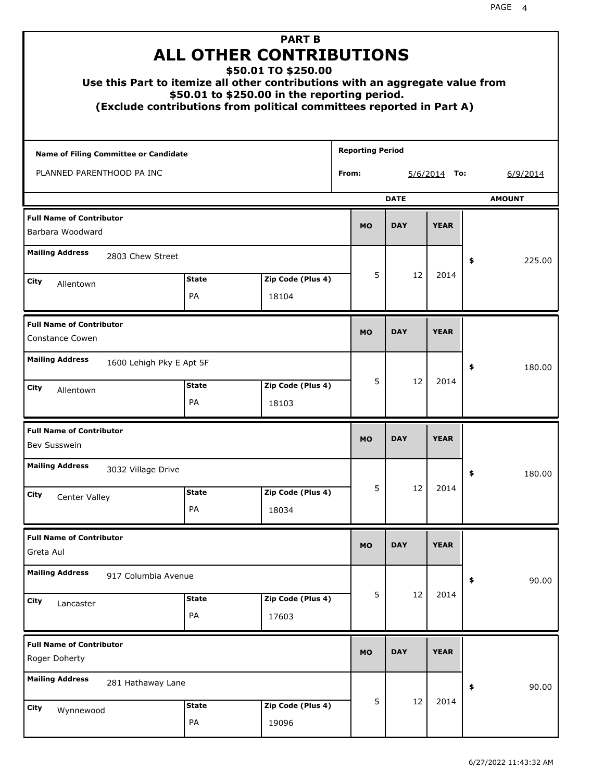|                                                           | <b>PART B</b><br><b>ALL OTHER CONTRIBUTIONS</b><br>\$50.01 TO \$250.00<br>Use this Part to itemize all other contributions with an aggregate value from<br>\$50.01 to \$250.00 in the reporting period.<br>(Exclude contributions from political committees reported in Part A)<br><b>Reporting Period</b> |                            |            |                |             |               |  |  |  |  |  |
|-----------------------------------------------------------|------------------------------------------------------------------------------------------------------------------------------------------------------------------------------------------------------------------------------------------------------------------------------------------------------------|----------------------------|------------|----------------|-------------|---------------|--|--|--|--|--|
| Name of Filing Committee or Candidate                     |                                                                                                                                                                                                                                                                                                            |                            |            |                |             |               |  |  |  |  |  |
| PLANNED PARENTHOOD PA INC                                 |                                                                                                                                                                                                                                                                                                            |                            | From:      | $5/6/2014$ To: | 6/9/2014    |               |  |  |  |  |  |
|                                                           |                                                                                                                                                                                                                                                                                                            |                            |            | <b>DATE</b>    |             | <b>AMOUNT</b> |  |  |  |  |  |
| <b>Full Name of Contributor</b><br>Barbara Woodward       |                                                                                                                                                                                                                                                                                                            |                            | <b>MO</b>  | <b>DAY</b>     | <b>YEAR</b> |               |  |  |  |  |  |
| <b>Mailing Address</b><br>2803 Chew Street                |                                                                                                                                                                                                                                                                                                            |                            |            |                |             | \$<br>225.00  |  |  |  |  |  |
| City<br>Allentown                                         | <b>State</b>                                                                                                                                                                                                                                                                                               | Zip Code (Plus 4)          | 5          | 12             | 2014        |               |  |  |  |  |  |
|                                                           | PA                                                                                                                                                                                                                                                                                                         | 18104                      |            |                |             |               |  |  |  |  |  |
| <b>Full Name of Contributor</b><br><b>Constance Cowen</b> |                                                                                                                                                                                                                                                                                                            | <b>MO</b>                  | <b>DAY</b> | <b>YEAR</b>    |             |               |  |  |  |  |  |
| <b>Mailing Address</b><br>1600 Lehigh Pky E Apt 5F        |                                                                                                                                                                                                                                                                                                            |                            |            | \$<br>180.00   |             |               |  |  |  |  |  |
| City<br>Allentown                                         | <b>State</b><br>PA                                                                                                                                                                                                                                                                                         | Zip Code (Plus 4)<br>18103 | 5          | 12             | 2014        |               |  |  |  |  |  |
| <b>Full Name of Contributor</b><br>Bev Susswein           |                                                                                                                                                                                                                                                                                                            |                            | <b>MO</b>  | <b>DAY</b>     | <b>YEAR</b> |               |  |  |  |  |  |
| <b>Mailing Address</b><br>3032 Village Drive              |                                                                                                                                                                                                                                                                                                            |                            |            |                |             | 180.00        |  |  |  |  |  |
| City<br>Center Valley                                     | <b>State</b>                                                                                                                                                                                                                                                                                               | Zip Code (Plus 4)          | 5          | 12             | 2014        |               |  |  |  |  |  |
|                                                           | PA                                                                                                                                                                                                                                                                                                         | 18034                      |            |                |             |               |  |  |  |  |  |
| <b>Full Name of Contributor</b><br>Greta Aul              |                                                                                                                                                                                                                                                                                                            |                            | <b>MO</b>  | <b>DAY</b>     | <b>YEAR</b> |               |  |  |  |  |  |
| <b>Mailing Address</b><br>917 Columbia Avenue             |                                                                                                                                                                                                                                                                                                            |                            |            |                |             | \$<br>90.00   |  |  |  |  |  |
| City<br>Lancaster                                         | <b>State</b><br>PA                                                                                                                                                                                                                                                                                         | Zip Code (Plus 4)<br>17603 | 5          | 12             | 2014        |               |  |  |  |  |  |
| <b>Full Name of Contributor</b><br>Roger Doherty          |                                                                                                                                                                                                                                                                                                            |                            |            | <b>DAY</b>     | <b>YEAR</b> |               |  |  |  |  |  |
| <b>Mailing Address</b><br>281 Hathaway Lane               |                                                                                                                                                                                                                                                                                                            |                            |            |                |             | \$<br>90.00   |  |  |  |  |  |
| City<br>Wynnewood                                         | <b>State</b><br>PA                                                                                                                                                                                                                                                                                         | Zip Code (Plus 4)<br>19096 | 5          | 12             | 2014        |               |  |  |  |  |  |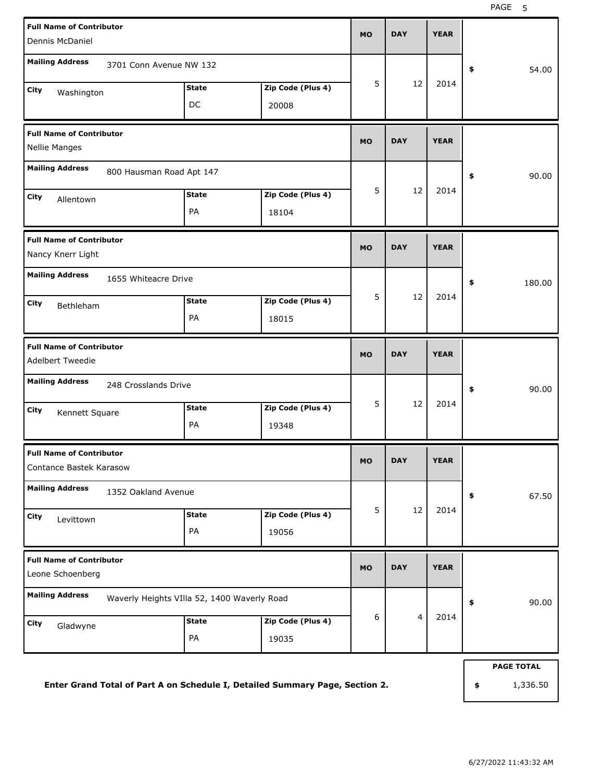| <b>Full Name of Contributor</b><br>Dennis McDaniel                    |                    |                            | <b>MO</b>   | <b>DAY</b>     | <b>YEAR</b> |                   |
|-----------------------------------------------------------------------|--------------------|----------------------------|-------------|----------------|-------------|-------------------|
| <b>Mailing Address</b><br>3701 Conn Avenue NW 132                     |                    |                            |             |                |             | 54.00<br>\$       |
| City<br>Washington                                                    | <b>State</b><br>DC | Zip Code (Plus 4)<br>20008 | 5           | 12             | 2014        |                   |
| <b>Full Name of Contributor</b><br>Nellie Manges                      |                    |                            | <b>MO</b>   | <b>DAY</b>     | <b>YEAR</b> |                   |
| <b>Mailing Address</b><br>800 Hausman Road Apt 147                    |                    |                            |             |                |             | 90.00<br>\$       |
| City<br>Allentown                                                     | <b>State</b><br>PA | Zip Code (Plus 4)<br>18104 | 5           | 12             | 2014        |                   |
| <b>Full Name of Contributor</b><br>Nancy Knerr Light                  | <b>MO</b>          | <b>DAY</b>                 | <b>YEAR</b> |                |             |                   |
| <b>Mailing Address</b><br>1655 Whiteacre Drive<br>City<br>Bethleham   | <b>State</b><br>PA | Zip Code (Plus 4)<br>18015 | 5           | 12             | 2014        | \$<br>180.00      |
| <b>Full Name of Contributor</b><br>Adelbert Tweedie                   |                    | <b>MO</b>                  | <b>DAY</b>  | <b>YEAR</b>    |             |                   |
| <b>Mailing Address</b><br>248 Crosslands Drive                        |                    |                            |             |                |             | \$<br>90.00       |
| City<br>Kennett Square                                                | <b>State</b><br>PA | Zip Code (Plus 4)<br>19348 | 5           | 12             | 2014        |                   |
| <b>Full Name of Contributor</b><br>Contance Bastek Karasow            |                    |                            | MU          | <b>DAY</b>     | <b>YEAR</b> |                   |
| <b>Mailing Address</b><br>1352 Oakland Avenue                         |                    |                            |             |                |             | 67.50<br>\$       |
| City<br>Levittown                                                     | <b>State</b><br>PA | Zip Code (Plus 4)<br>19056 | 5           | 12             | 2014        |                   |
| <b>Full Name of Contributor</b><br>Leone Schoenberg                   | <b>MO</b>          | <b>DAY</b>                 | <b>YEAR</b> |                |             |                   |
| <b>Mailing Address</b><br>Waverly Heights VIIIa 52, 1400 Waverly Road |                    |                            |             |                |             | 90.00<br>\$       |
| City<br>Gladwyne                                                      | <b>State</b><br>PA | Zip Code (Plus 4)<br>19035 | 6           | $\overline{4}$ | 2014        |                   |
|                                                                       |                    |                            |             |                |             | <b>PAGE TOTAL</b> |

**Enter Grand Total of Part A on Schedule I, Detailed Summary Page, Section 2.**

**\$** 1,336.50

6/27/2022 11:43:32 AM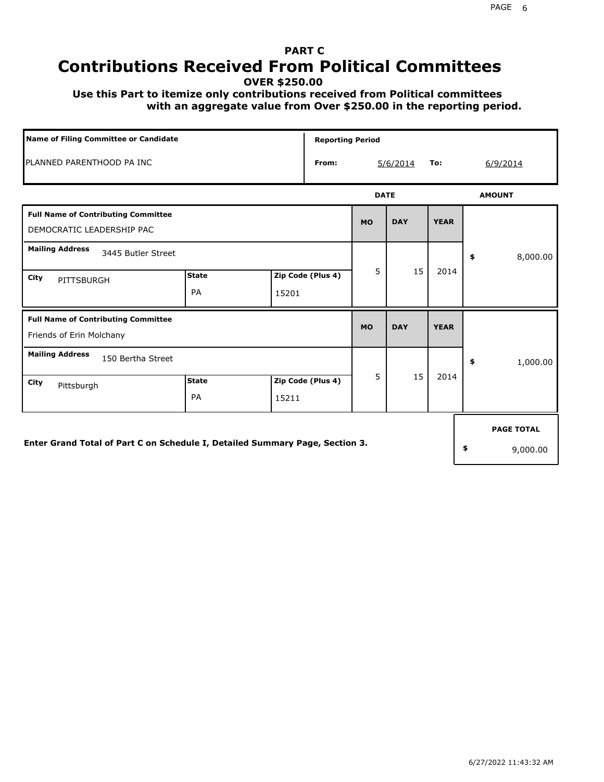# **PART C Contributions Received From Political Committees**

**OVER \$250.00**

 **Use this Part to itemize only contributions received from Political committees with an aggregate value from Over \$250.00 in the reporting period.**

| Name of Filing Committee or Candidate                                        | <b>Reporting Period</b>   |       |                   |             |            |             |          |                   |  |
|------------------------------------------------------------------------------|---------------------------|-------|-------------------|-------------|------------|-------------|----------|-------------------|--|
| PLANNED PARENTHOOD PA INC                                                    |                           |       | From:             |             | 5/6/2014   | To:         | 6/9/2014 |                   |  |
|                                                                              |                           |       |                   | <b>DATE</b> |            |             |          | <b>AMOUNT</b>     |  |
| <b>Full Name of Contributing Committee</b><br>DEMOCRATIC LEADERSHIP PAC      |                           |       |                   | <b>MO</b>   | <b>DAY</b> | <b>YEAR</b> |          |                   |  |
| <b>Mailing Address</b><br>3445 Butler Street                                 |                           |       |                   |             |            |             | \$       | 8,000.00          |  |
| City<br>PITTSBURGH                                                           | <b>State</b><br>PA        | 15201 | Zip Code (Plus 4) | 5           | 15         | 2014        |          |                   |  |
| <b>Full Name of Contributing Committee</b><br>Friends of Erin Molchany       |                           |       |                   | <b>MO</b>   | <b>DAY</b> | <b>YEAR</b> |          |                   |  |
| <b>Mailing Address</b><br>150 Bertha Street                                  |                           |       |                   |             |            |             | \$       | 1,000.00          |  |
| City<br>Pittsburgh                                                           | <b>State</b><br><b>PA</b> | 15211 | Zip Code (Plus 4) | 5           | 15         | 2014        |          |                   |  |
|                                                                              |                           |       |                   |             |            |             |          | <b>PAGE TOTAL</b> |  |
| Enter Grand Total of Part C on Schedule I, Detailed Summary Page, Section 3. |                           |       |                   |             |            |             | \$       | 9,000.00          |  |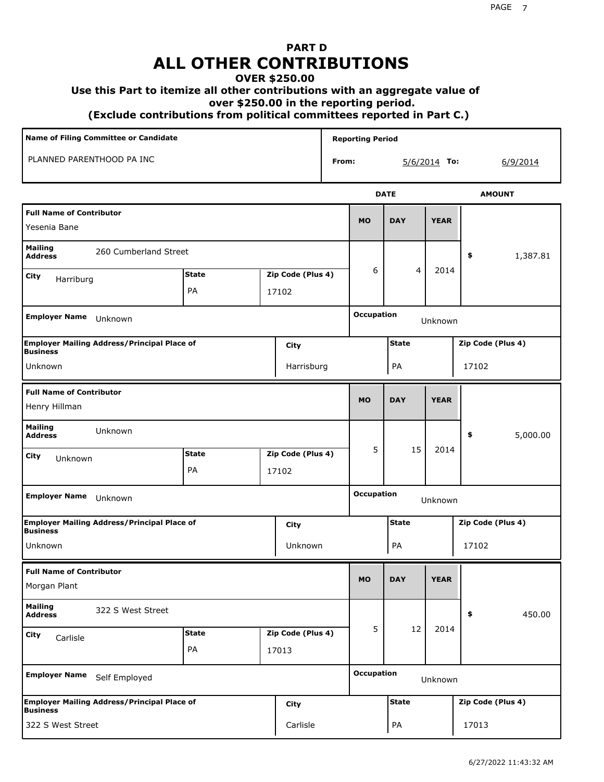# **PART D ALL OTHER CONTRIBUTIONS**

#### **OVER \$250.00**

#### **Use this Part to itemize all other contributions with an aggregate value of**

 **over \$250.00 in the reporting period.**

 **(Exclude contributions from political committees reported in Part C.)** 

|                                                                               | Name of Filing Committee or Candidate              |              |  |                              |                   | <b>Reporting Period</b>      |              |                   |                   |  |  |
|-------------------------------------------------------------------------------|----------------------------------------------------|--------------|--|------------------------------|-------------------|------------------------------|--------------|-------------------|-------------------|--|--|
|                                                                               | PLANNED PARENTHOOD PA INC                          |              |  |                              | From:             |                              |              | $5/6/2014$ To:    | 6/9/2014          |  |  |
|                                                                               |                                                    |              |  |                              |                   |                              | <b>DATE</b>  |                   | <b>AMOUNT</b>     |  |  |
| <b>Full Name of Contributor</b><br>Yesenia Bane                               |                                                    |              |  |                              |                   | <b>MO</b>                    | <b>DAY</b>   | <b>YEAR</b>       |                   |  |  |
| <b>Mailing</b><br><b>Address</b>                                              | 260 Cumberland Street                              |              |  |                              |                   |                              |              |                   | \$<br>1,387.81    |  |  |
| City<br>Harriburg                                                             |                                                    | <b>State</b> |  | Zip Code (Plus 4)            |                   | 6                            | 4            | 2014              |                   |  |  |
|                                                                               |                                                    | PA           |  | 17102                        |                   |                              |              |                   |                   |  |  |
| <b>Employer Name</b><br>Unknown                                               |                                                    |              |  |                              | <b>Occupation</b> |                              | Unknown      |                   |                   |  |  |
| <b>Business</b>                                                               | <b>Employer Mailing Address/Principal Place of</b> |              |  | City                         |                   |                              | <b>State</b> |                   | Zip Code (Plus 4) |  |  |
| Unknown<br>Harrisburg                                                         |                                                    |              |  |                              | PA                |                              |              | 17102             |                   |  |  |
| <b>Full Name of Contributor</b><br>Henry Hillman                              |                                                    |              |  |                              | <b>MO</b>         | <b>DAY</b>                   | <b>YEAR</b>  |                   |                   |  |  |
| <b>Mailing</b><br><b>Address</b>                                              | Unknown                                            |              |  |                              |                   |                              |              |                   | 5,000.00<br>\$    |  |  |
| City<br>Unknown                                                               |                                                    | <b>State</b> |  | Zip Code (Plus 4)            |                   | 5                            | 15           | 2014              |                   |  |  |
|                                                                               |                                                    | PA           |  | 17102                        |                   |                              |              |                   |                   |  |  |
| <b>Employer Name</b>                                                          | Unknown                                            |              |  |                              |                   | <b>Occupation</b><br>Unknown |              |                   |                   |  |  |
| <b>Business</b>                                                               | <b>Employer Mailing Address/Principal Place of</b> |              |  | City                         |                   | <b>State</b>                 |              |                   | Zip Code (Plus 4) |  |  |
| Unknown                                                                       |                                                    |              |  | Unknown                      |                   |                              | PA           |                   | 17102             |  |  |
| <b>Full Name of Contributor</b><br>Morgan Plant                               |                                                    |              |  |                              |                   | <b>MO</b>                    | <b>DAY</b>   | <b>YEAR</b>       |                   |  |  |
| <b>Mailing</b><br><b>Address</b>                                              | 322 S West Street                                  |              |  |                              |                   |                              |              |                   | 450.00<br>\$      |  |  |
| City<br>Carlisle                                                              |                                                    | <b>State</b> |  | Zip Code (Plus 4)            |                   | 5                            | 12           | 2014              |                   |  |  |
|                                                                               |                                                    | PA<br>17013  |  |                              |                   |                              |              |                   |                   |  |  |
| <b>Employer Name</b><br>Self Employed                                         |                                                    |              |  | <b>Occupation</b><br>Unknown |                   |                              |              |                   |                   |  |  |
| <b>Employer Mailing Address/Principal Place of</b><br>City<br><b>Business</b> |                                                    |              |  |                              | <b>State</b>      |                              |              | Zip Code (Plus 4) |                   |  |  |
| 322 S West Street                                                             |                                                    |              |  | Carlisle                     |                   | PA<br>17013                  |              |                   |                   |  |  |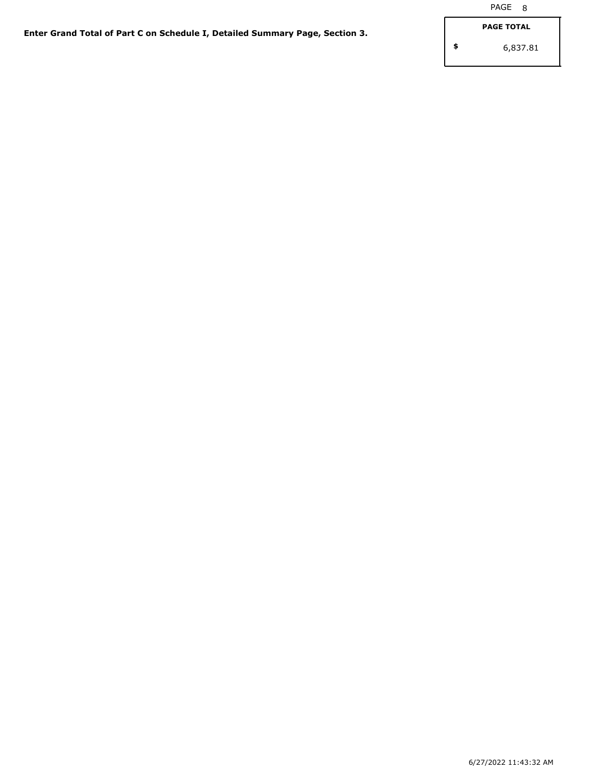**\$**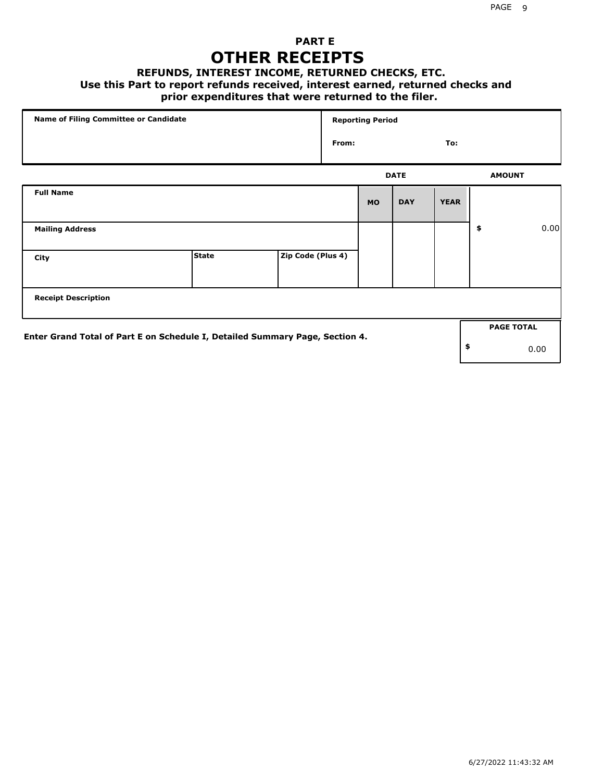# **PART E OTHER RECEIPTS**

### **REFUNDS, INTEREST INCOME, RETURNED CHECKS, ETC.**

 **Use this Part to report refunds received, interest earned, returned checks and**

### **prior expenditures that were returned to the filer.**

| Name of Filing Committee or Candidate                                        |              |                   |       | <b>Reporting Period</b> |             |             |               |                   |      |
|------------------------------------------------------------------------------|--------------|-------------------|-------|-------------------------|-------------|-------------|---------------|-------------------|------|
|                                                                              |              |                   | From: |                         |             | To:         |               |                   |      |
|                                                                              |              |                   |       |                         | <b>DATE</b> |             | <b>AMOUNT</b> |                   |      |
| <b>Full Name</b>                                                             |              |                   |       | <b>MO</b>               | <b>DAY</b>  | <b>YEAR</b> |               |                   |      |
| <b>Mailing Address</b>                                                       |              |                   |       |                         |             |             | \$            |                   | 0.00 |
| City                                                                         | <b>State</b> | Zip Code (Plus 4) |       |                         |             |             |               |                   |      |
| <b>Receipt Description</b>                                                   |              |                   |       |                         |             |             |               |                   |      |
| Enter Grand Total of Part E on Schedule I, Detailed Summary Page, Section 4. |              |                   |       |                         |             |             |               | <b>PAGE TOTAL</b> |      |
|                                                                              |              |                   |       |                         |             |             | \$            |                   | 0.00 |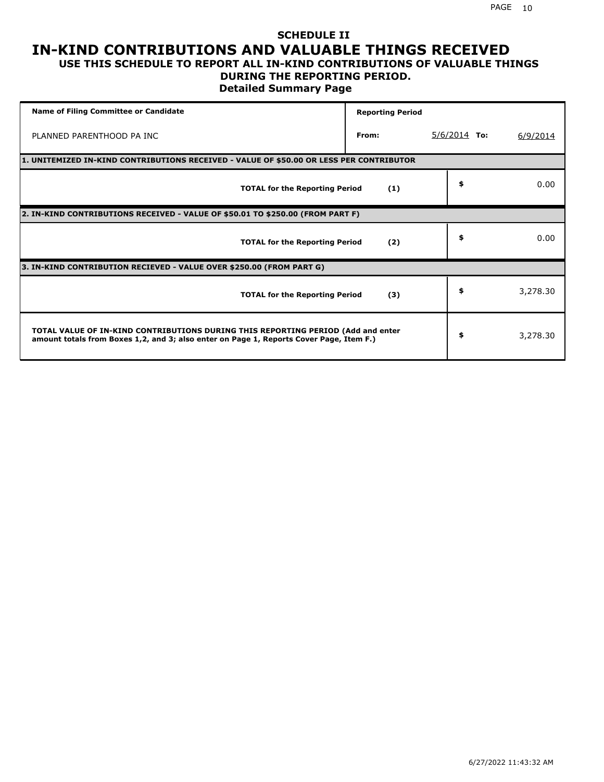### **SCHEDULE II IN-KIND CONTRIBUTIONS AND VALUABLE THINGS RECEIVED USE THIS SCHEDULE TO REPORT ALL IN-KIND CONTRIBUTIONS OF VALUABLE THINGS**

### **DURING THE REPORTING PERIOD.**

**Detailed Summary Page**

| <b>Name of Filing Committee or Candidate</b>                                                                                                                                | <b>Reporting Period</b> |                |          |  |  |  |  |  |
|-----------------------------------------------------------------------------------------------------------------------------------------------------------------------------|-------------------------|----------------|----------|--|--|--|--|--|
| PLANNED PARENTHOOD PA INC                                                                                                                                                   | From:                   | $5/6/2014$ To: | 6/9/2014 |  |  |  |  |  |
| 1. UNITEMIZED IN-KIND CONTRIBUTIONS RECEIVED - VALUE OF \$50.00 OR LESS PER CONTRIBUTOR                                                                                     |                         |                |          |  |  |  |  |  |
| <b>TOTAL for the Reporting Period</b>                                                                                                                                       | (1)                     | \$             | 0.00     |  |  |  |  |  |
| 2. IN-KIND CONTRIBUTIONS RECEIVED - VALUE OF \$50.01 TO \$250.00 (FROM PART F)                                                                                              |                         |                |          |  |  |  |  |  |
| <b>TOTAL for the Reporting Period</b>                                                                                                                                       | (2)                     | \$             | 0.00     |  |  |  |  |  |
| 3. IN-KIND CONTRIBUTION RECIEVED - VALUE OVER \$250.00 (FROM PART G)                                                                                                        |                         |                |          |  |  |  |  |  |
| <b>TOTAL for the Reporting Period</b>                                                                                                                                       | (3)                     | \$             | 3,278.30 |  |  |  |  |  |
| TOTAL VALUE OF IN-KIND CONTRIBUTIONS DURING THIS REPORTING PERIOD (Add and enter<br>amount totals from Boxes 1,2, and 3; also enter on Page 1, Reports Cover Page, Item F.) |                         | \$             | 3,278.30 |  |  |  |  |  |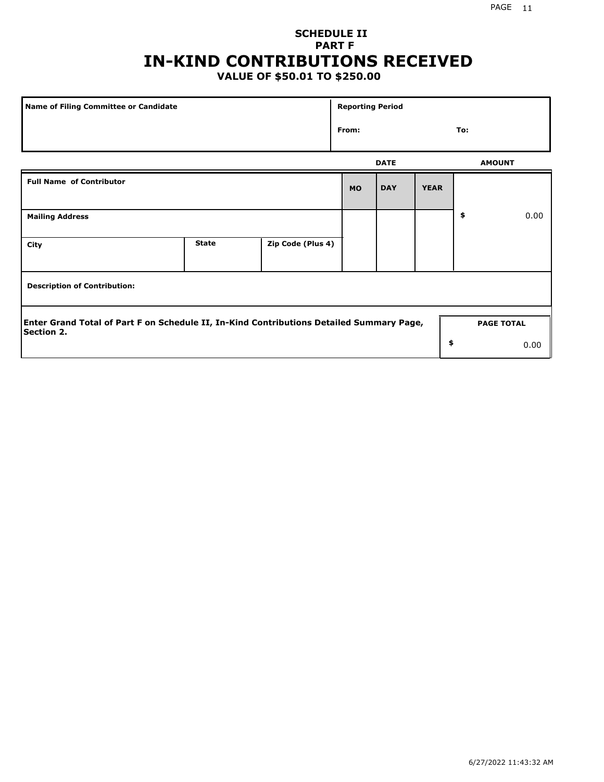# **SCHEDULE II PART F IN-KIND CONTRIBUTIONS RECEIVED**

# **VALUE OF \$50.01 TO \$250.00**

| Name of Filing Committee or Candidate                                                                         |              |                   | <b>Reporting Period</b> |             |             |               |                   |  |  |  |
|---------------------------------------------------------------------------------------------------------------|--------------|-------------------|-------------------------|-------------|-------------|---------------|-------------------|--|--|--|
|                                                                                                               |              |                   | From:                   |             |             | To:           |                   |  |  |  |
|                                                                                                               |              |                   |                         | <b>DATE</b> |             | <b>AMOUNT</b> |                   |  |  |  |
| <b>Full Name of Contributor</b>                                                                               |              |                   | <b>MO</b>               | <b>DAY</b>  | <b>YEAR</b> |               |                   |  |  |  |
| <b>Mailing Address</b>                                                                                        |              |                   |                         |             |             | \$            | 0.00              |  |  |  |
| City                                                                                                          | <b>State</b> | Zip Code (Plus 4) |                         |             |             |               |                   |  |  |  |
| <b>Description of Contribution:</b>                                                                           |              |                   |                         |             |             |               |                   |  |  |  |
| Enter Grand Total of Part F on Schedule II, In-Kind Contributions Detailed Summary Page,<br><b>Section 2.</b> |              |                   |                         |             |             |               | <b>PAGE TOTAL</b> |  |  |  |
|                                                                                                               |              |                   |                         |             | \$          |               | 0.00              |  |  |  |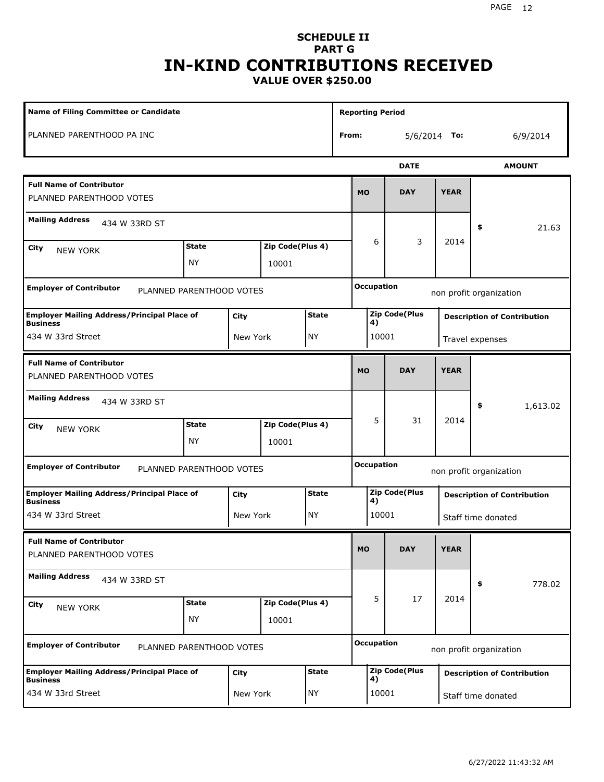#### PAGE 12

### **SCHEDULE II PART G IN-KIND CONTRIBUTIONS RECEIVED VALUE OVER \$250.00**

| <b>Name of Filing Committee or Candidate</b>                                                  |                           |                           |                           |                                              |                             | <b>Reporting Period</b>                      |       |                      |                 |                                    |  |  |
|-----------------------------------------------------------------------------------------------|---------------------------|---------------------------|---------------------------|----------------------------------------------|-----------------------------|----------------------------------------------|-------|----------------------|-----------------|------------------------------------|--|--|
| PLANNED PARENTHOOD PA INC                                                                     |                           |                           |                           |                                              | From:                       |                                              |       | $5/6/2014$ To:       |                 | 6/9/2014                           |  |  |
|                                                                                               |                           |                           |                           |                                              |                             |                                              |       | <b>DATE</b>          |                 | <b>AMOUNT</b>                      |  |  |
| <b>Full Name of Contributor</b><br>PLANNED PARENTHOOD VOTES                                   |                           |                           |                           |                                              |                             | <b>MO</b>                                    |       | <b>DAY</b>           | <b>YEAR</b>     |                                    |  |  |
| <b>Mailing Address</b><br>434 W 33RD ST                                                       |                           |                           |                           |                                              |                             |                                              |       |                      |                 | \$<br>21.63                        |  |  |
| City<br><b>NEW YORK</b>                                                                       | <b>State</b><br><b>NY</b> | Zip Code(Plus 4)<br>10001 |                           |                                              |                             | 6                                            | 3     | 2014                 |                 |                                    |  |  |
| <b>Employer of Contributor</b><br>PLANNED PARENTHOOD VOTES                                    |                           |                           |                           |                                              |                             | <b>Occupation</b>                            |       |                      |                 | non profit organization            |  |  |
| <b>Employer Mailing Address/Principal Place of</b><br><b>State</b><br>City<br><b>Business</b> |                           |                           |                           |                                              |                             |                                              | 4)    | <b>Zip Code(Plus</b> |                 | <b>Description of Contribution</b> |  |  |
| 434 W 33rd Street                                                                             | <b>NY</b><br>New York     |                           |                           |                                              |                             |                                              | 10001 |                      | Travel expenses |                                    |  |  |
| <b>Full Name of Contributor</b><br>PLANNED PARENTHOOD VOTES                                   |                           |                           |                           |                                              |                             | <b>MO</b>                                    |       | <b>DAY</b>           | <b>YEAR</b>     |                                    |  |  |
| <b>Mailing Address</b><br>434 W 33RD ST                                                       |                           |                           |                           |                                              |                             |                                              |       |                      |                 | 1,613.02<br>\$                     |  |  |
| City<br><b>NEW YORK</b>                                                                       | <b>State</b><br><b>NY</b> |                           | Zip Code(Plus 4)<br>10001 |                                              |                             | 5                                            |       | 31                   | 2014            |                                    |  |  |
| <b>Employer of Contributor</b>                                                                | PLANNED PARENTHOOD VOTES  |                           |                           |                                              |                             | <b>Occupation</b><br>non profit organization |       |                      |                 |                                    |  |  |
| <b>Employer Mailing Address/Principal Place of</b><br><b>Business</b>                         |                           | City                      |                           | <b>State</b>                                 |                             |                                              | 4)    | <b>Zip Code(Plus</b> |                 | <b>Description of Contribution</b> |  |  |
| 434 W 33rd Street                                                                             |                           | New York                  |                           | <b>NY</b>                                    |                             |                                              | 10001 |                      |                 | Staff time donated                 |  |  |
| <b>Full Name of Contributor</b><br>PLANNED PARENTHOOD VOTES                                   |                           |                           |                           |                                              |                             | <b>MO</b>                                    |       | <b>DAY</b>           | <b>YEAR</b>     |                                    |  |  |
| <b>Mailing Address</b><br>434 W 33RD ST                                                       |                           |                           |                           |                                              |                             |                                              |       |                      |                 | 778.02<br>\$                       |  |  |
| City<br>NEW YORK                                                                              | <b>State</b><br><b>NY</b> | Zip Code(Plus 4)<br>10001 |                           |                                              |                             | 5                                            | 17    | 2014                 |                 |                                    |  |  |
| <b>Employer of Contributor</b><br>PLANNED PARENTHOOD VOTES                                    |                           |                           |                           | <b>Occupation</b><br>non profit organization |                             |                                              |       |                      |                 |                                    |  |  |
| <b>Employer Mailing Address/Principal Place of</b><br><b>Business</b>                         |                           | City                      |                           | <b>State</b>                                 | <b>Zip Code(Plus</b><br>4)  |                                              |       |                      |                 | <b>Description of Contribution</b> |  |  |
| 434 W 33rd Street                                                                             |                           | New York                  |                           | NY                                           | 10001<br>Staff time donated |                                              |       |                      |                 |                                    |  |  |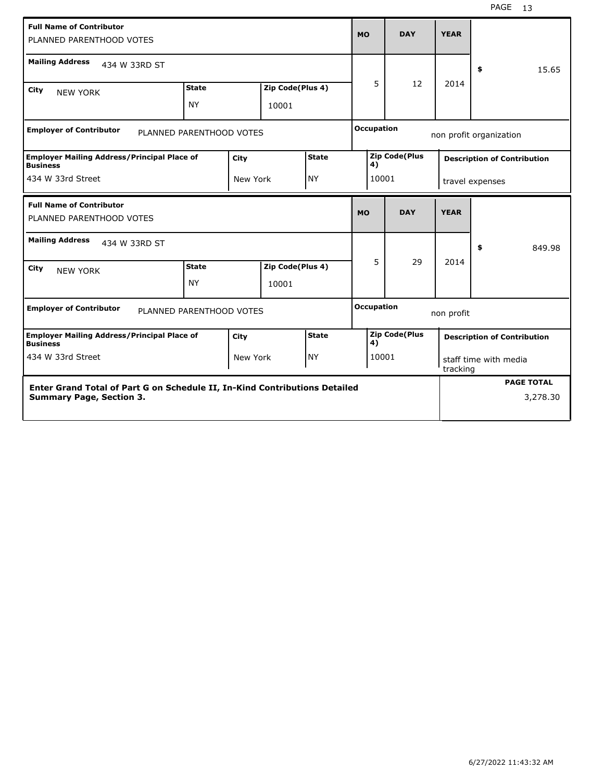| <b>Full Name of Contributor</b><br>PLANNED PARENTHOOD VOTES                                   |                                                                            |      |                  |              |                         | <b>MO</b>         | <b>DAY</b>           | <b>YEAR</b>                       |                                    |  |
|-----------------------------------------------------------------------------------------------|----------------------------------------------------------------------------|------|------------------|--------------|-------------------------|-------------------|----------------------|-----------------------------------|------------------------------------|--|
| <b>Mailing Address</b><br>434 W 33RD ST                                                       |                                                                            |      |                  |              |                         |                   |                      |                                   | \$<br>15.65                        |  |
| City<br><b>NEW YORK</b>                                                                       | <b>State</b>                                                               |      | Zip Code(Plus 4) |              |                         | 5                 | 12                   | 2014                              |                                    |  |
|                                                                                               | <b>NY</b>                                                                  |      | 10001            |              |                         |                   |                      |                                   |                                    |  |
| <b>Occupation</b><br><b>Employer of Contributor</b><br>PLANNED PARENTHOOD VOTES               |                                                                            |      |                  |              | non profit organization |                   |                      |                                   |                                    |  |
| <b>Employer Mailing Address/Principal Place of</b><br><b>State</b><br>City<br><b>Business</b> |                                                                            |      |                  |              |                         | 4)                | <b>Zip Code(Plus</b> |                                   | <b>Description of Contribution</b> |  |
| 434 W 33rd Street<br><b>NY</b><br>New York                                                    |                                                                            |      |                  | 10001        |                         | travel expenses   |                      |                                   |                                    |  |
| <b>Full Name of Contributor</b><br>PLANNED PARENTHOOD VOTES                                   |                                                                            |      |                  |              | <b>MO</b>               |                   | <b>DAY</b>           | <b>YEAR</b>                       |                                    |  |
| <b>Mailing Address</b><br>434 W 33RD ST                                                       |                                                                            |      |                  |              |                         |                   |                      |                                   | \$<br>849.98                       |  |
| City<br><b>NEW YORK</b>                                                                       | <b>State</b>                                                               |      | Zip Code(Plus 4) |              | 5                       |                   | 29                   | 2014                              |                                    |  |
|                                                                                               | <b>NY</b>                                                                  |      | 10001            |              |                         |                   |                      |                                   |                                    |  |
| <b>Employer of Contributor</b><br>PLANNED PARENTHOOD VOTES                                    |                                                                            |      |                  |              |                         | <b>Occupation</b> |                      | non profit                        |                                    |  |
| <b>Employer Mailing Address/Principal Place of</b><br><b>Business</b>                         |                                                                            | City |                  | <b>State</b> |                         | 4)                | <b>Zip Code(Plus</b> |                                   | <b>Description of Contribution</b> |  |
| 434 W 33rd Street<br>NY)<br>New York                                                          |                                                                            |      |                  |              |                         | 10001             |                      | staff time with media<br>tracking |                                    |  |
|                                                                                               | Enter Grand Total of Part G on Schedule II, In-Kind Contributions Detailed |      |                  |              |                         |                   |                      | <b>PAGE TOTAL</b>                 |                                    |  |
| <b>Summary Page, Section 3.</b>                                                               |                                                                            |      |                  |              |                         |                   |                      |                                   | 3,278.30                           |  |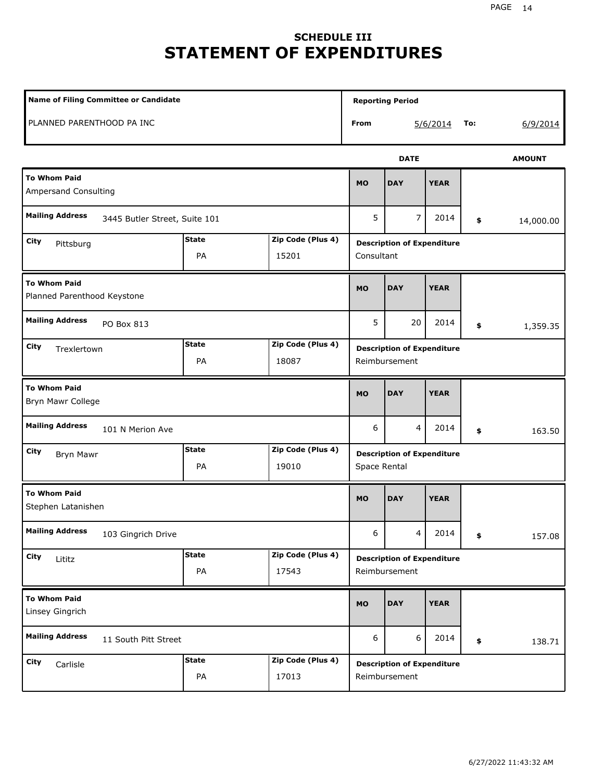# **SCHEDULE III STATEMENT OF EXPENDITURES**

|                                                         | Name of Filing Committee or Candidate |                                                    |             |                                                    |             |     |               |  |
|---------------------------------------------------------|---------------------------------------|----------------------------------------------------|-------------|----------------------------------------------------|-------------|-----|---------------|--|
| PLANNED PARENTHOOD PA INC                               |                                       |                                                    | From        |                                                    | 5/6/2014    | To: | 6/9/2014      |  |
|                                                         |                                       |                                                    |             | <b>DATE</b>                                        |             |     | <b>AMOUNT</b> |  |
| <b>To Whom Paid</b><br><b>Ampersand Consulting</b>      |                                       |                                                    | <b>MO</b>   | <b>DAY</b>                                         | <b>YEAR</b> |     |               |  |
| <b>Mailing Address</b><br>3445 Butler Street, Suite 101 |                                       |                                                    | 5           | 7                                                  | 2014        | \$  | 14,000.00     |  |
| City<br>Pittsburg                                       | <b>State</b><br>PA                    | Zip Code (Plus 4)<br>15201                         |             | <b>Description of Expenditure</b><br>Consultant    |             |     |               |  |
| <b>To Whom Paid</b><br>Planned Parenthood Keystone      |                                       |                                                    | <b>MO</b>   | <b>DAY</b>                                         | <b>YEAR</b> |     |               |  |
| <b>Mailing Address</b><br>PO Box 813                    |                                       |                                                    | 5           | 20                                                 | 2014        | \$  | 1,359.35      |  |
| City<br>Trexlertown                                     | Zip Code (Plus 4)                     | <b>Description of Expenditure</b><br>Reimbursement |             |                                                    |             |     |               |  |
| <b>To Whom Paid</b><br>Bryn Mawr College                | <b>MO</b>                             | <b>DAY</b>                                         | <b>YEAR</b> |                                                    |             |     |               |  |
| <b>Mailing Address</b><br>101 N Merion Ave              |                                       |                                                    | 6           | 4                                                  | 2014        | \$  | 163.50        |  |
| City<br><b>Bryn Mawr</b>                                | <b>State</b><br>PA                    | Zip Code (Plus 4)<br>19010                         |             | <b>Description of Expenditure</b><br>Space Rental  |             |     |               |  |
| <b>To Whom Paid</b><br>Stephen Latanishen               |                                       |                                                    | <b>MO</b>   | <b>DAY</b>                                         | <b>YEAR</b> |     |               |  |
| <b>Mailing Address</b><br>103 Gingrich Drive            |                                       |                                                    | 6           | 4                                                  | 2014        | \$  | 157.08        |  |
| City<br>Lititz                                          | <b>State</b><br>PA                    | Zip Code (Plus 4)<br>17543                         |             | <b>Description of Expenditure</b><br>Reimbursement |             |     |               |  |
| <b>To Whom Paid</b><br>Linsey Gingrich                  |                                       |                                                    | <b>MO</b>   | <b>DAY</b>                                         | <b>YEAR</b> |     |               |  |
| <b>Mailing Address</b><br>11 South Pitt Street          |                                       |                                                    |             | 6                                                  | 2014        | \$  | 138.71        |  |
| City<br>Carlisle                                        | Zip Code (Plus 4)                     | <b>Description of Expenditure</b><br>Reimbursement |             |                                                    |             |     |               |  |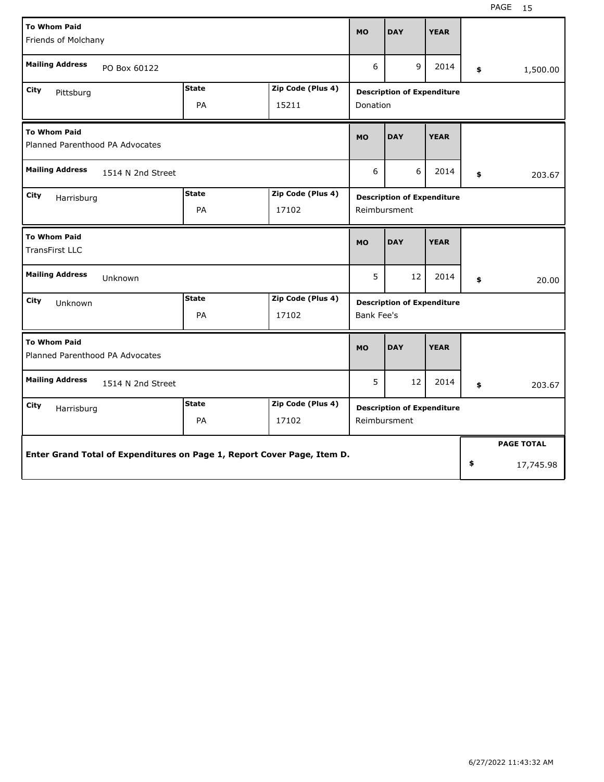| <b>To Whom Paid</b>                                                     |              |                   |                                                   | <b>DAY</b>                        | <b>YEAR</b> |    |                   |  |
|-------------------------------------------------------------------------|--------------|-------------------|---------------------------------------------------|-----------------------------------|-------------|----|-------------------|--|
| Friends of Molchany                                                     |              |                   | <b>MO</b>                                         |                                   |             |    |                   |  |
| <b>Mailing Address</b><br>PO Box 60122                                  |              |                   | 6                                                 | 9                                 | 2014        | \$ | 1,500.00          |  |
| <b>City</b><br>Pittsburg                                                | <b>State</b> | Zip Code (Plus 4) |                                                   | <b>Description of Expenditure</b> |             |    |                   |  |
|                                                                         | PA           | 15211             | Donation                                          |                                   |             |    |                   |  |
| <b>To Whom Paid</b>                                                     |              |                   | <b>MO</b>                                         | <b>DAY</b>                        | <b>YEAR</b> |    |                   |  |
| Planned Parenthood PA Advocates                                         |              |                   |                                                   |                                   |             |    |                   |  |
| <b>Mailing Address</b><br>1514 N 2nd Street                             |              |                   | 6                                                 | 6                                 | 2014        | \$ | 203.67            |  |
| City<br>Harrisburg                                                      | <b>State</b> | Zip Code (Plus 4) | <b>Description of Expenditure</b><br>Reimbursment |                                   |             |    |                   |  |
|                                                                         | PA           | 17102             |                                                   |                                   |             |    |                   |  |
| <b>To Whom Paid</b><br><b>TransFirst LLC</b>                            |              |                   | <b>MO</b>                                         | <b>DAY</b>                        | <b>YEAR</b> |    |                   |  |
| <b>Mailing Address</b><br>Unknown                                       |              |                   | 5                                                 | 12                                | 2014        | \$ | 20.00             |  |
| <b>State</b><br>Zip Code (Plus 4)<br>City<br>Unknown                    |              |                   |                                                   | <b>Description of Expenditure</b> |             |    |                   |  |
|                                                                         | PA           | 17102             | Bank Fee's                                        |                                   |             |    |                   |  |
| <b>To Whom Paid</b><br>Planned Parenthood PA Advocates                  |              |                   | <b>MO</b>                                         | <b>DAY</b>                        | <b>YEAR</b> |    |                   |  |
| <b>Mailing Address</b><br>1514 N 2nd Street                             |              |                   | 5                                                 | 12                                | 2014        | \$ | 203.67            |  |
| City<br>Harrisburg                                                      | <b>State</b> | Zip Code (Plus 4) |                                                   | <b>Description of Expenditure</b> |             |    |                   |  |
| PA<br>17102                                                             |              |                   |                                                   | Reimbursment                      |             |    |                   |  |
|                                                                         |              |                   |                                                   |                                   |             |    | <b>PAGE TOTAL</b> |  |
| Enter Grand Total of Expenditures on Page 1, Report Cover Page, Item D. |              |                   |                                                   |                                   |             | \$ | 17,745.98         |  |